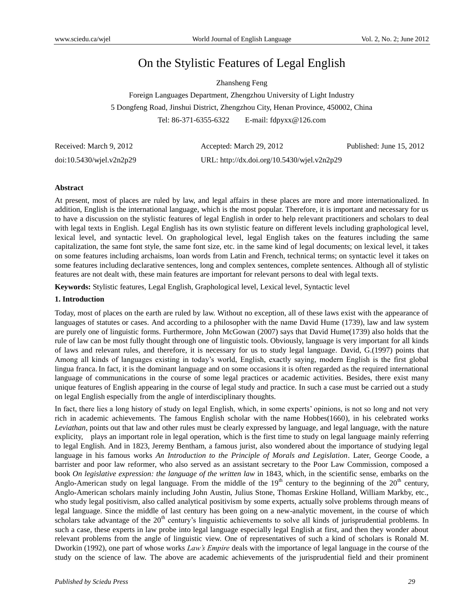# On the Stylistic Features of Legal English

Zhansheng Feng

Foreign Languages Department, Zhengzhou University of Light Industry 5 Dongfeng Road, Jinshui District, Zhengzhou City, Henan Province, 450002, China Tel: 86-371-6355-6322 E-mail: fdpyxx@126.com

| Received: March 9, 2012        | Accepted: March 29, 2012                    | Published: June 15, 2012 |
|--------------------------------|---------------------------------------------|--------------------------|
| $doi:10.5430/w$ jel.v $2n2p29$ | URL: http://dx.doi.org/10.5430/wjel.v2n2p29 |                          |

#### **Abstract**

At present, most of places are ruled by law, and legal affairs in these places are more and more internationalized. In addition, English is the international language, which is the most popular. Therefore, it is important and necessary for us to have a discussion on the stylistic features of legal English in order to help relevant practitioners and scholars to deal with legal texts in English. Legal English has its own stylistic feature on different levels including graphological level, lexical level, and syntactic level. On graphological level, legal English takes on the features including the same capitalization, the same font style, the same font size, etc. in the same kind of legal documents; on lexical level, it takes on some features including archaisms, loan words from Latin and French, technical terms; on syntactic level it takes on some features including declarative sentences, long and complex sentences, complete sentences. Although all of stylistic features are not dealt with, these main features are important for relevant persons to deal with legal texts.

**Keywords:** Stylistic features, Legal English, Graphological level, Lexical level, Syntactic level

### **1. Introduction**

Today, most of places on the earth are ruled by law. Without no exception, all of these laws exist with the appearance of languages of statutes or cases. And according to a philosopher with the name David Hume (1739), law and law system are purely one of linguistic forms. Furthermore, John McGowan (2007) says that David Hume(1739) also holds that the rule of law can be most fully thought through one of linguistic tools. Obviously, language is very important for all kinds of laws and relevant rules, and therefore, it is necessary for us to study legal language. [David, G.\(1997\)](http://en.wikipedia.org/wiki/David_Graddol) points that Among all kinds of languages existing in today's world, English, exactly saying, modern English is the first global lingua franca. In fact, it is the dominant language and on some occasions it is often regarded as the required international language of communications in the course of some legal practices or academic activities. Besides, there exist many unique features of English appearing in the course of legal study and practice. In such a case must be carried out a study on legal English especially from the angle of interdisciplinary thoughts.

In fact, there lies a long history of study on legal English, which, in some experts' opinions, is not so long and not very rich in academic achievements. The famous English scholar with the name Hobbes(1660), in his celebrated works *Leviathan*, points out that law and other rules must be clearly expressed by language, and legal language, with the nature explicity, plays an important role in legal operation, which is the first time to study on legal language mainly referring to legal English. And in 1823, Jeremy Bentham, a famous jurist, also wondered about the importance of studying legal language in his famous works *An Introduction to the Principle of Morals and Legislation*. Later, George Coode, a barrister and poor law reformer, who also served as an assistant secretary to the Poor Law Commission, composed a book *On legislative expression: the language of the written law* in 1843, which, in the scientific sense, embarks on the Anglo-American study on legal language. From the middle of the 19<sup>th</sup> century to the beginning of the  $20<sup>th</sup>$  century, Anglo-American scholars mainly including John Austin, Julius Stone, Thomas Erskine Holland, William Markby, etc., who study legal positivism, also called analytical positivism by some experts, actually solve problems through means of legal language. Since the middle of last century has been going on a new-analytic movement, in the course of which scholars take advantage of the 20<sup>th</sup> century's linguistic achievements to solve all kinds of jurisprudential problems. In such a case, these experts in law probe into legal language especially legal English at first, and then they wonder about relevant problems from the angle of linguistic view. One of representatives of such a kind of scholars is Ronald M. Dworkin (1992), one part of whose works *Law's Empire* deals with the importance of legal language in the course of the study on the science of law. The above are academic achievements of the jurisprudential field and their prominent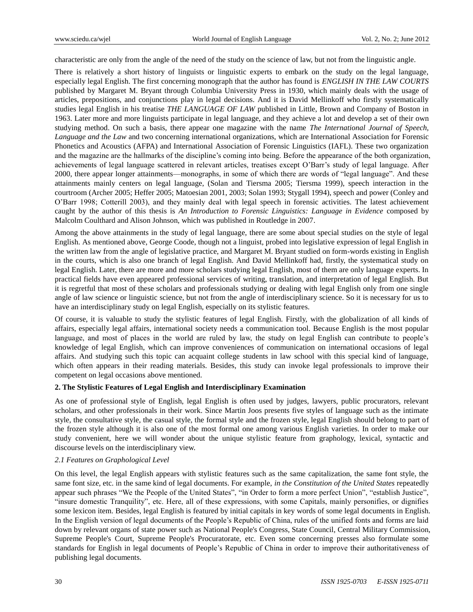characteristic are only from the angle of the need of the study on the science of law, but not from the linguistic angle.

There is relatively a short history of linguists or linguistic experts to embark on the study on the legal language, especially legal English. The first concerning monograph that the author has found is *ENGLISH IN THE LAW COURTS* published by Margaret M. Bryant through Columbia University Press in 1930, which mainly deals with the usage of articles, prepositions, and conjunctions play in legal decisions. And it is David Mellinkoff who firstly systematically studies legal English in his treatise *THE LANGUAGE OF LAW* published in Little, Brown and Company of Boston in 1963. Later more and more linguists participate in legal language, and they achieve a lot and develop a set of their own studying method. On such a basis, there appear one magazine with the name *The International Journal of Speech, Language and the Law* and two concerning international organizations, which are International Association for Forensic Phonetics and Acoustics (AFPA) and International Association of Forensic Linguistics (IAFL). These two organization and the magazine are the hallmarks of the discipline's coming into being. Before the appearance of the both organization, achievements of legal language scattered in relevant articles, treatises except O'Barr's study of legal language. After 2000, there appear longer attainments—monographs, in some of which there are words of "legal language". And these attainments mainly centers on legal language, (Solan and Tiersma 2005; Tiersma 1999), speech interaction in the courtroom (Archer 2005; Heffer 2005; Matoesian 2001, 2003; Solan 1993; Stygall 1994), speech and power (Conley and O'Barr 1998; Cotterill 2003), and they mainly deal with legal speech in forensic activities. The latest achievement caught by the author of this thesis is *An Introduction to Forensic Linguistics: Language in Evidence* composed by Malcolm Coulthard and Alison Johnson, which was published in Routledge in 2007.

Among the above attainments in the study of legal language, there are some about special studies on the style of legal English. As mentioned above, George Coode, though not a linguist, probed into legislative expression of legal English in the written law from the angle of legislative practice, and Margaret M. Bryant studied on form-words existing in English in the courts, which is also one branch of legal English. And David Mellinkoff had, firstly, the systematical study on legal English. Later, there are more and more scholars studying legal English, most of them are only language experts. In practical fields have even appeared professional services of writing, translation, and interpretation of legal English. But it is regretful that most of these scholars and professionals studying or dealing with legal English only from one single angle of law science or linguistic science, but not from the angle of interdisciplinary science. So it is necessary for us to have an interdisciplinary study on legal English, especially on its stylistic features.

Of course, it is valuable to study the stylistic features of legal English. Firstly, with the globalization of all kinds of affairs, especially legal affairs, international society needs a communication tool. Because English is the most popular language, and most of places in the world are ruled by law, the study on legal English can contribute to people's knowledge of legal English, which can improve conveniences of communication on international occasions of legal affairs. And studying such this topic can acquaint college students in law school with this special kind of language, which often appears in their reading materials. Besides, this study can invoke legal professionals to improve their competent on legal occasions above mentioned.

## **2. The Stylistic Features of Legal English and Interdisciplinary Examination**

As one of professional style of English, legal English is often used by judges, lawyers, public procurators, relevant scholars, and other professionals in their work. Since Martin Joos presents five styles of language such as the intimate style, the consultative style, the casual style, the formal style and the frozen style, legal English should belong to part of the frozen style although it is also one of the most formal one among various English varieties. In order to make our study convenient, here we will wonder about the unique stylistic feature from graphology, lexical, syntactic and discourse levels on the interdisciplinary view.

# *2.1 Features on Graphological Level*

On this level, the legal English appears with stylistic features such as the same capitalization, the same font style, the same font size, etc. in the same kind of legal documents. For example, *in the Constitution of the United States* repeatedly appear such phrases "We the People of the United States", "in Order to form a more perfect Union", "establish Justice", "insure domestic Tranquility", etc. Here, all of these expressions, with some Capitals, mainly personifies, or dignifies some lexicon item. Besides, legal English is featured by initial capitals in key words of some legal documents in English. In the English version of legal documents of the People's Republic of China, rules of the unified fonts and forms are laid down by relevant organs of state power such as National People's Congress, State Council, Central Military Commission, Supreme People's Court, Supreme People's Procuratorate, etc. Even some concerning presses also formulate some standards for English in legal documents of People's Republic of China in order to improve their authoritativeness of publishing legal documents.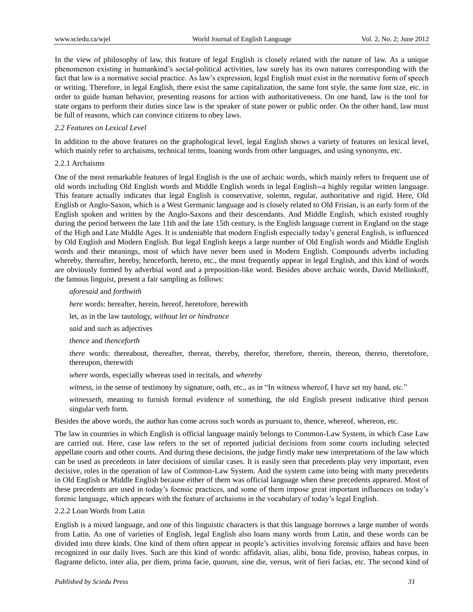In the view of philosophy of law, this feature of legal English is closely related with the nature of law. As a unique phenomenon existing in humankind's social-political activities, law surely has its own natures corresponding with the fact that law is a normative social practice. As law's expression, legal English must exist in the normative form of speech or writing. Therefore, in legal English, there exist the same capitalization, the same font style, the same font size, etc. in order to guide human behavior, presenting reasons for action with authoritativeness. On one hand, law is the tool for state organs to perform their duties since law is the speaker of state power or public order. On the other hand, law must be full of reasons, which can convince citizens to obey laws.

# *2.2 Features on Lexical Level*

In addition to the above features on the graphological level, legal English shows a variety of features on lexical level, which mainly refer to archaisms, technical terms, loaning words from other languages, and using synonyms, etc.

## 2.2.1 Archaisms

One of the most remarkable features of legal English is the use of archaic words, which mainly refers to frequent use of old words including Old English words and Middle English words in legal English--a highly regular written language. This feature actually indicates that legal English is conservative, solemn, regular, authoritative and rigid. Here, Old English or Anglo-Saxon, which is a West Germanic language and is closely related to Old Frisian, is an early form of the English spoken and written by the Anglo-Saxons and their descendants. And Middle English, which existed roughly during the period between the late 11th and the late 15th century, is the English language current in England on the stage of the High and Late Middle Ages. It is undeniable that modern English especially today's general English, is influenced by Old English and Modern English. But legal English keeps a large number of Old English words and Middle English words and their meanings, most of which have never been used in Modern English. Compounds adverbs including whereby, thereafter, hereby, henceforth, hereto, etc., the most frequently appear in legal English, and this kind of words are obviously formed by adverbial word and a preposition-like word. Besides above archaic words, David Mellinkoff, the famous linguist, present a fair sampling as follows:

## *aforesaid* and *forthwith*

*here* words: hereafter, herein, hereof, heretofore, herewith

let, as in the law tautology, *without let or hindrance*

*said* and *such* as adjectives

## *thence* and *thenceforth*

*there* words: thereabout, thereafter, thereat, thereby, therefor, therefore, therein, thereon, thereto, theretofore, thereupon, therewith

*where* words, especially whereas used in recitals, and *whereby*

*witness*, in the sense of testimony by signature, oath, etc., as in "In witness whereof, I have set my hand, etc."

*witnesseth,* meaning to furnish formal evidence of something, the old English present indicative third person singular verb form.

Besides the above words, the author has come across such words as pursuant to, thence, whereof, whereon, etc.

The law in countries in which English is official language mainly belongs to Common-Law System, in which Case Law are carried out. Here, case law refers to the set of reported judicial decisions from some courts including selected appellate courts and other courts. And during these decisions, the judge firstly make new interpretations of the law which can be used as precedents in later decisions of similar cases. It is easily seen that precedents play very important, even decisive, roles in the operation of law of Common-Law System. And the system came into being with many precedents in Old English or Middle English because either of them was official language when these precedents appeared. Most of these precedents are used in today's foensic practices, and some of them impose great important influences on today's forenic language, which appears with the feature of archaisms in the vocabulary of today's legal English.

# 2.2.2 Loan Words from Latin

English is a mixed language, and one of this linguistic characters is that this language borrows a large number of words from Latin. As one of varieties of English, legal English also loans many words from Latin, and these words can be divided into three kinds. One kind of them often appear in people's activities involving forensic affairs and have been recognized in our daily lives. Such are this kind of words: affidavit, alias, alibi, bona fide, proviso, habeas corpus, in flagrante delicto, inter alia, per diem, prima facie, quorum, sine die, versus, writ of fieri facias, etc. The second kind of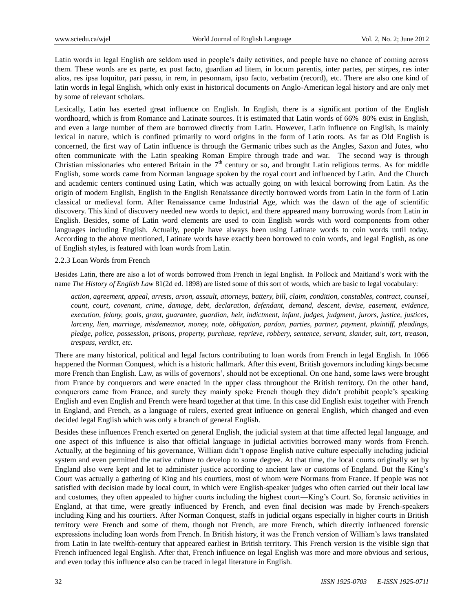Latin words in legal English are seldom used in people's daily activities, and people have no chance of coming across them. These words are ex parte, ex post facto, guardian ad litem, in locum parentis, inter partes, per stirpes, res inter alios, res ipsa loquitur, pari passu, in rem, in pesonnam, ipso facto, verbatim (record), etc. There are also one kind of latin words in legal English, which only exist in historical documents on Anglo-American legal history and are only met by some of relevant scholars.

Lexically, Latin has exerted great influence on English. In English, there is a significant portion of the English wordhoard, which is from Romance and Latinate sources. It is estimated that Latin words of 66%–80% exist in English, and even a large number of them are borrowed directly from Latin. However, Latin influence on English, is mainly lexical in nature, which is confined primarily to word origins in the form of Latin roots. As far as Old English is concerned, the first way of Latin influence is through the Germanic tribes such as the Angles, Saxon and Jutes, who often communicate with the Latin speaking Roman Empire through trade and war. The second way is through Christian missionaries who entered Britain in the  $7<sup>th</sup>$  century or so, and brought Latin religious terms. As for middle English, some words came from Norman language spoken by the royal court and influenced by Latin. And the Church and academic centers continued using Latin, which was actually going on with lexical borrowing from Latin. As the origin of modern English, English in the English Renaissance directly borrowed words from Latin in the form of Latin classical or medieval form. After Renaissance came Industrial Age, which was the dawn of the age of scientific discovery. This kind of discovery needed new words to depict, and there appeared many borrowing words from Latin in English. Besides, some of Latin word elements are used to coin English words with word components from other languages including English. Actually, people have always been using Latinate words to coin words until today. According to the above mentioned, Latinate words have exactly been borrowed to coin words, and legal English, as one of English styles, is featured with loan words from Latin.

#### 2.2.3 Loan Words from French

Besides Latin, there are also a lot of words borrowed from French in legal English. In Pollock and Maitland's work with the name *The History of English Law* 81(2d ed. 1898) are listed some of this sort of words, which are basic to legal vocabulary:

*action, agreement, appeal, arrests, arson, assault, attorneys, battery, bill, claim, condition, constables, contract, counsel, count, court, covenant, crime, damage, debt, declaration, defendant, demand, descent, devise, easement, evidence, execution, felony, goals, grant, guarantee, guardian, heir, indictment, infant, judges, judgment, jurors, justice, justices, larceny, lien, marriage, misdemeanor, money, note, obligation, pardon, parties, partner, payment, plaintiff, pleadings, pledge, police, possession, prisons, property, purchase, reprieve, robbery, sentence, servant, slander, suit, tort, treason, trespass, verdict, etc.*

There are many historical, political and legal factors contributing to loan words from French in legal English. In 1066 happened the Norman Conquest, which is a historic hallmark. After this event, British governors including kings became more French than English. Law, as wills of governors', should not be exceptional. On one hand, some laws were brought from France by conquerors and were enacted in the upper class throughout the British territory. On the other hand, conquerors came from France, and surely they mainly spoke French though they didn't prohibit people's speaking English and even English and French were heard together at that time. In this case did English exist together with French in England, and French, as a language of rulers, exerted great influence on general English, which changed and even decided legal English which was only a branch of general English.

Besides these influences French exerted on general English, the judicial system at that time affected legal language, and one aspect of this influence is also that official language in judicial activities borrowed many words from French. Actually, at the beginning of his governance, William didn't oppose English native culture especially including judicial system and even permitted the native culture to develop to some degree. At that time, the local courts originally set by England also were kept and let to administer justice according to ancient law or customs of England. But the King's Court was actually a gathering of King and his courtiers, most of whom were Normans from France. If people was not satisfied with decision made by local court, in which were English-speaker judges who often carried out their local law and costumes, they often appealed to higher courts including the highest court—King's Court. So, forensic activities in England, at that time, were greatly influenced by French, and even final decision was made by French-speakers including King and his courtiers. After Norman Conquest, staffs in judicial organs especially in higher courts in British territory were French and some of them, though not French, are more French, which directly influenced forensic expressions including loan words from French. In British history, it was the French version of William's laws translated from Latin in late twelfth-century that appeared earliest in British territory. This French version is the visible sign that French influenced legal English. After that, French influence on legal English was more and more obvious and serious, and even today this influence also can be traced in legal literature in English.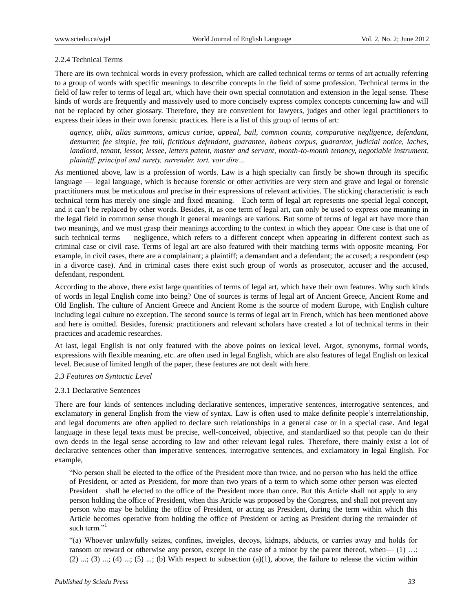#### 2.2.4 Technical Terms

There are its own technical words in every profession, which are called technical terms or terms of art actually referring to a group of words with specific meanings to describe concepts in the field of some profession. Technical terms in the field of law refer to terms of legal art, which have their own special connotation and extension in the legal sense. These kinds of words are frequently and massively used to more concisely express complex concepts concerning law and will not be replaced by other glossary. Therefore, they are convenient for lawyers, judges and other legal practitioners to express their ideas in their own forensic practices. Here is a list of this group of terms of art:

*agency, alibi, alias summons, amicus curiae, appeal, bail, common counts, comparative negligence, defendant, demurrer, fee simple, fee tail, fictitious defendant, guarantee, habeas corpus, guarantor, judicial notice, laches, landlord, tenant, lessor, lessee, letters patent, master and servant, month-to-month tenancy, negotiable instrument, plaintiff, principal and surety, surrender, tort, voir dire…* 

As mentioned above, law is a profession of words. Law is a high specialty can firstly be shown through its specific language — legal language, which is because forensic or other activities are very stern and grave and legal or forensic practitioners must be meticulous and precise in their expressions of relevant activities. The sticking characteristic is each technical term has merely one single and fixed meaning. Each term of legal art represents one special legal concept, and it can't be replaced by other words. Besides, it, as one term of legal art, can only be used to express one meaning in the legal field in common sense though it general meanings are various. But some of terms of legal art have more than two meanings, and we must grasp their meanings according to the context in which they appear. One case is that one of such technical terms — negligence, which refers to a different concept when appearing in different context such as criminal case or civil case. Terms of legal art are also featured with their matching terms with opposite meaning. For example, in civil cases, there are a complainant; a plaintiff; a demandant and a defendant; the accused; a respondent (esp in a divorce case). And in criminal cases there exist such group of words as prosecutor, accuser and the accused, defendant, respondent.

According to the above, there exist large quantities of terms of legal art, which have their own features. Why such kinds of words in legal English come into being? One of sources is terms of legal art of Ancient Greece, Ancient Rome and Old English. The culture of Ancient Greece and Ancient Rome is the source of modern Europe, with English culture including legal culture no exception. The second source is terms of legal art in French, which has been mentioned above and here is omitted. Besides, forensic practitioners and relevant scholars have created a lot of technical terms in their practices and academic researches.

At last, legal English is not only featured with the above points on lexical level. Argot, synonyms, formal words, expressions with flexible meaning, etc. are often used in legal English, which are also features of legal English on lexical level. Because of limited length of the paper, these features are not dealt with here.

#### *2.3 Features on Syntactic Level*

## 2.3.1 Declarative Sentences

There are four kinds of sentences including declarative sentences, imperative sentences, interrogative sentences, and exclamatory in general English from the view of syntax. Law is often used to make definite people's interrelationship, and legal documents are often applied to declare such relationships in a general case or in a special case. And legal language in these legal texts must be precise, well-conceived, objective, and standardized so that people can do their own deeds in the legal sense according to law and other relevant legal rules. Therefore, there mainly exist a lot of declarative sentences other than imperative sentences, interrogative sentences, and exclamatory in legal English. For example,

"No person shall be elected to the office of the President more than twice, and no person who has held the office of President, or acted as President, for more than two years of a term to which some other person was elected President shall be elected to the office of the President more than once. But this Article shall not apply to any person holding the office of President, when this Article was proposed by the Congress, and shall not prevent any person who may be holding the office of President, or acting as President, during the term within which this Article becomes operative from holding the office of President or acting as President during the remainder of such term."<sup>1</sup>

"(a) Whoever unlawfully seizes, confines, inveigles, decoys, kidnaps, abducts, or carries away and holds for ransom or reward or otherwise any person, except in the case of a minor by the parent thereof, when—  $(1)$  ...;  $(2)$  ...;  $(3)$  ...;  $(4)$  ...;  $(5)$  ...;  $(b)$  With respect to subsection  $(a)(1)$ , above, the failure to release the victim within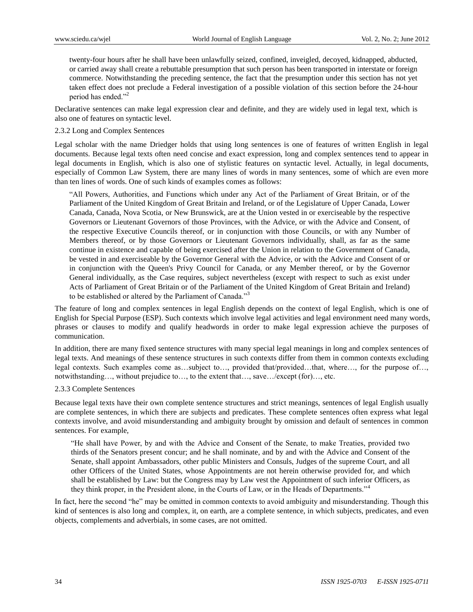twenty-four hours after he shall have been unlawfully seized, confined, inveigled, decoyed, kidnapped, abducted, or carried away shall create a rebuttable presumption that such person has been transported in interstate or foreign commerce. Notwithstanding the preceding sentence, the fact that the presumption under this section has not yet taken effect does not preclude a Federal investigation of a possible violation of this section before the 24-hour period has ended."<sup>2</sup>

Declarative sentences can make legal expression clear and definite, and they are widely used in legal text, which is also one of features on syntactic level.

## 2.3.2 Long and Complex Sentences

Legal scholar with the name Driedger holds that using long sentences is one of features of written English in legal documents. Because legal texts often need concise and exact expression, long and complex sentences tend to appear in legal documents in English, which is also one of stylistic features on syntactic level. Actually, in legal documents, especially of Common Law System, there are many lines of words in many sentences, some of which are even more than ten lines of words. One of such kinds of examples comes as follows:

"All Powers, Authorities, and Functions which under any Act of the Parliament of Great Britain, or of the Parliament of the United Kingdom of Great Britain and Ireland, or of the Legislature of Upper Canada, Lower Canada, Canada, Nova Scotia, or New Brunswick, are at the Union vested in or exerciseable by the respective Governors or Lieutenant Governors of those Provinces, with the Advice, or with the Advice and Consent, of the respective Executive Councils thereof, or in conjunction with those Councils, or with any Number of Members thereof, or by those Governors or Lieutenant Governors individually, shall, as far as the same continue in existence and capable of being exercised after the Union in relation to the Government of Canada, be vested in and exerciseable by the Governor General with the Advice, or with the Advice and Consent of or in conjunction with the Queen's Privy Council for Canada, or any Member thereof, or by the Governor General individually, as the Case requires, subject nevertheless (except with respect to such as exist under Acts of Parliament of Great Britain or of the Parliament of the United Kingdom of Great Britain and Ireland) to be established or altered by the Parliament of Canada."<sup>3</sup>

The feature of long and complex sentences in legal English depends on the context of legal English, which is one of English for Special Purpose (ESP). Such contexts which involve legal activities and legal environment need many words, phrases or clauses to modify and qualify headwords in order to make legal expression achieve the purposes of communication.

In addition, there are many fixed sentence structures with many special legal meanings in long and complex sentences of legal texts. And meanings of these sentence structures in such contexts differ from them in common contexts excluding legal contexts. Such examples come as…subject to…, provided that/provided…that, where…, for the purpose of…, notwithstanding…, without prejudice to…, to the extent that…, save…/except (for)…, etc.

### 2.3.3 Complete Sentences

Because legal texts have their own complete sentence structures and strict meanings, sentences of legal English usually are complete sentences, in which there are subjects and predicates. These complete sentences often express what legal contexts involve, and avoid misunderstanding and ambiguity brought by omission and default of sentences in common sentences. For example,

"He shall have Power, by and with the Advice and Consent of the Senate, to make Treaties, provided two thirds of the Senators present concur; and he shall nominate, and by and with the Advice and Consent of the Senate, shall appoint Ambassadors, other public Ministers and Consuls, Judges of the supreme Court, and all other Officers of the United States, whose Appointments are not herein otherwise provided for, and which shall be established by Law: but the Congress may by Law vest the Appointment of such inferior Officers, as they think proper, in the President alone, in the Courts of Law, or in the Heads of Departments."<sup>4</sup>

In fact, here the second "he" may be omitted in common contexts to avoid ambiguity and misunderstanding. Though this kind of sentences is also long and complex, it, on earth, are a complete sentence, in which subjects, predicates, and even objects, complements and adverbials, in some cases, are not omitted.